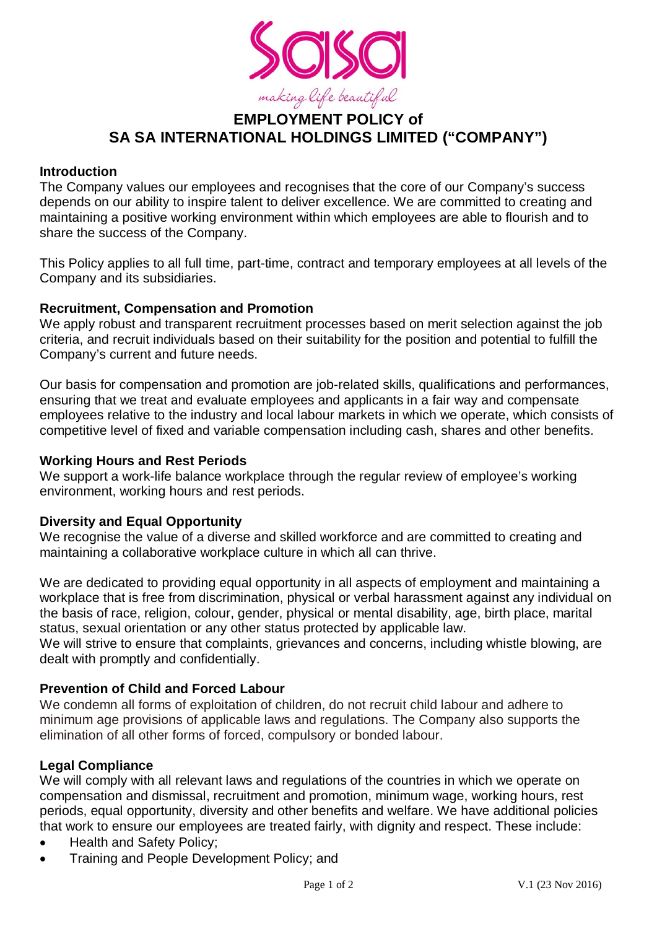

# **EMPLOYMENT POLICY of SA SA INTERNATIONAL HOLDINGS LIMITED ("COMPANY")**

# **Introduction**

The Company values our employees and recognises that the core of our Company's success depends on our ability to inspire talent to deliver excellence. We are committed to creating and maintaining a positive working environment within which employees are able to flourish and to share the success of the Company.

This Policy applies to all full time, part-time, contract and temporary employees at all levels of the Company and its subsidiaries.

#### **Recruitment, Compensation and Promotion**

We apply robust and transparent recruitment processes based on merit selection against the job criteria, and recruit individuals based on their suitability for the position and potential to fulfill the Company's current and future needs.

Our basis for compensation and promotion are job-related skills, qualifications and performances, ensuring that we treat and evaluate employees and applicants in a fair way and compensate employees relative to the industry and local labour markets in which we operate, which consists of competitive level of fixed and variable compensation including cash, shares and other benefits.

#### **Working Hours and Rest Periods**

We support a work-life balance workplace through the regular review of employee's working environment, working hours and rest periods.

# **Diversity and Equal Opportunity**

We recognise the value of a diverse and skilled workforce and are committed to creating and maintaining a collaborative workplace culture in which all can thrive.

We are dedicated to providing equal opportunity in all aspects of employment and maintaining a workplace that is free from discrimination, physical or verbal harassment against any individual on the basis of race, religion, colour, gender, physical or mental disability, age, birth place, marital status, sexual orientation or any other status protected by applicable law.

We will strive to ensure that complaints, grievances and concerns, including whistle blowing, are dealt with promptly and confidentially.

# **Prevention of Child and Forced Labour**

We condemn all forms of exploitation of children, do not recruit child labour and adhere to minimum age provisions of applicable laws and regulations. The Company also supports the elimination of all other forms of forced, compulsory or bonded labour.

# **Legal Compliance**

We will comply with all relevant laws and regulations of the countries in which we operate on compensation and dismissal, recruitment and promotion, minimum wage, working hours, rest periods, equal opportunity, diversity and other benefits and welfare. We have additional policies that work to ensure our employees are treated fairly, with dignity and respect. These include:

- Health and Safety Policy;
- Training and People Development Policy; and